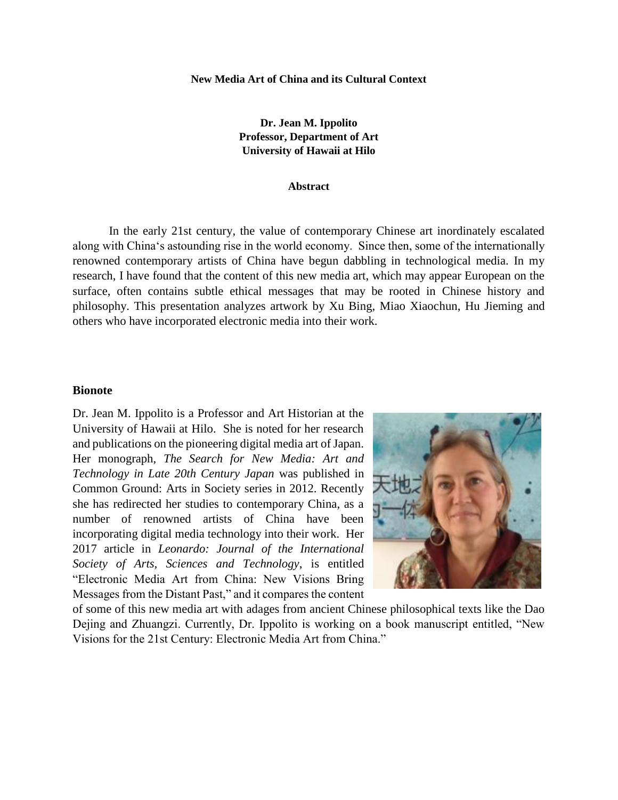**New Media Art of China and its Cultural Context**

**Dr. Jean M. Ippolito Professor, Department of Art University of Hawaii at Hilo**

#### **Abstract**

In the early 21st century, the value of contemporary Chinese art inordinately escalated along with Chinaʻs astounding rise in the world economy. Since then, some of the internationally renowned contemporary artists of China have begun dabbling in technological media. In my research, I have found that the content of this new media art, which may appear European on the surface, often contains subtle ethical messages that may be rooted in Chinese history and philosophy. This presentation analyzes artwork by Xu Bing, Miao Xiaochun, Hu Jieming and others who have incorporated electronic media into their work.

### **Bionote**

Dr. Jean M. Ippolito is a Professor and Art Historian at the University of Hawaii at Hilo. She is noted for her research and publications on the pioneering digital media art of Japan. Her monograph, *The Search for New Media: Art and Technology in Late 20th Century Japan* was published in Common Ground: Arts in Society series in 2012. Recently she has redirected her studies to contemporary China, as a number of renowned artists of China have been incorporating digital media technology into their work. Her 2017 article in *Leonardo: Journal of the International Society of Arts, Sciences and Technology*, is entitled "Electronic Media Art from China: New Visions Bring Messages from the Distant Past," and it compares the content



of some of this new media art with adages from ancient Chinese philosophical texts like the Dao Dejing and Zhuangzi. Currently, Dr. Ippolito is working on a book manuscript entitled, "New Visions for the 21st Century: Electronic Media Art from China."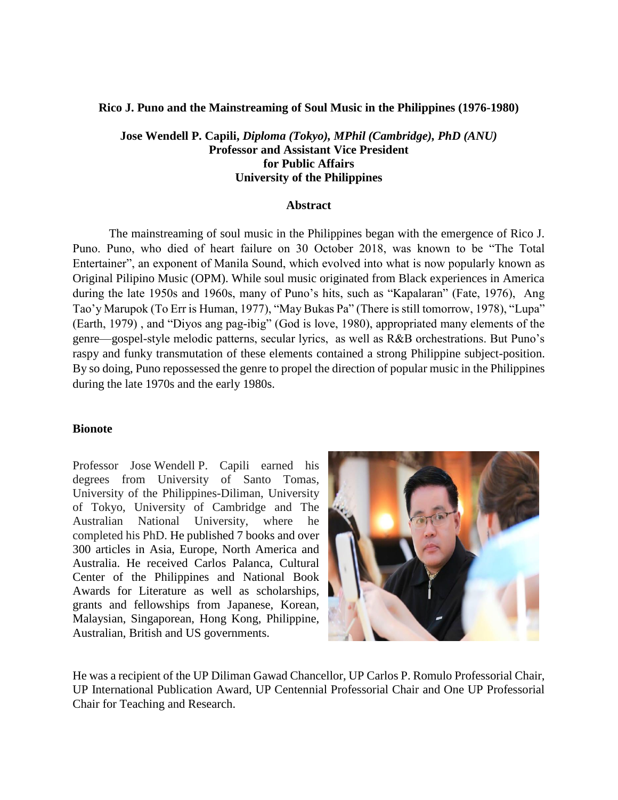### **Rico J. Puno and the Mainstreaming of Soul Music in the Philippines (1976-1980)**

### **Jose Wendell P. Capili,** *Diploma (Tokyo), MPhil (Cambridge), PhD (ANU)* **Professor and Assistant Vice President for Public Affairs University of the Philippines**

### **Abstract**

The mainstreaming of soul music in the Philippines began with the emergence of Rico J. Puno. Puno, who died of heart failure on 30 October 2018, was known to be "The Total Entertainer", an exponent of Manila Sound, which evolved into what is now popularly known as Original Pilipino Music (OPM). While soul music originated from Black experiences in America during the late 1950s and 1960s, many of Puno's hits, such as "Kapalaran" (Fate, 1976), Ang Tao'y Marupok (To Err is Human, 1977), "May Bukas Pa" (There is still tomorrow, 1978), "Lupa" (Earth, 1979) , and "Diyos ang pag-ibig" (God is love, 1980), appropriated many elements of the genre—gospel-style melodic patterns, secular lyrics, as well as R&B orchestrations. But Puno's raspy and funky transmutation of these elements contained a strong Philippine subject-position. By so doing, Puno repossessed the genre to propel the direction of popular music in the Philippines during the late 1970s and the early 1980s.

### **Bionote**

Professor Jose Wendell P. Capili earned his degrees from University of Santo Tomas, University of the Philippines-Diliman, University of Tokyo, University of Cambridge and The Australian National University, where he completed his PhD. He published 7 books and over 300 articles in Asia, Europe, North America and Australia. He received Carlos Palanca, Cultural Center of the Philippines and National Book Awards for Literature as well as scholarships, grants and fellowships from Japanese, Korean, Malaysian, Singaporean, Hong Kong, Philippine, Australian, British and US governments.



He was a recipient of the UP Diliman Gawad Chancellor, UP Carlos P. Romulo Professorial Chair, UP International Publication Award, UP Centennial Professorial Chair and One UP Professorial Chair for Teaching and Research.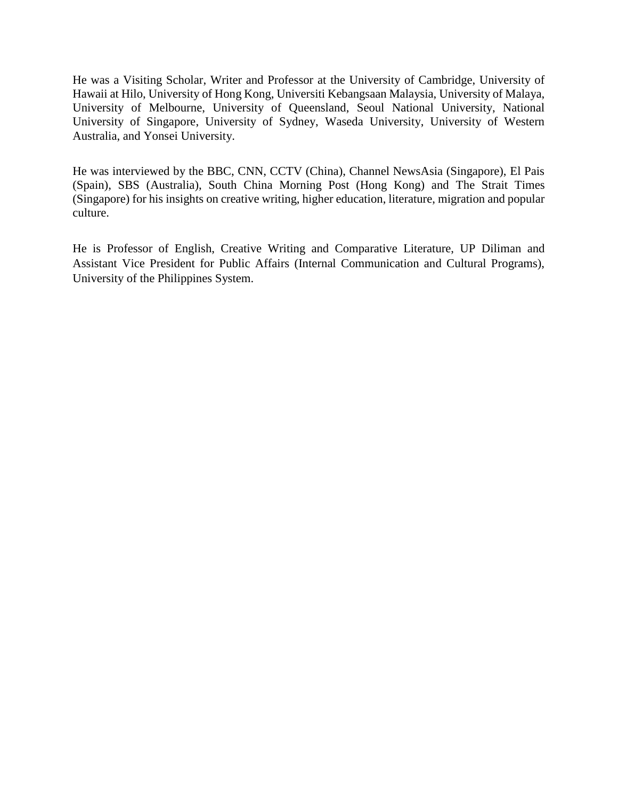He was a Visiting Scholar, Writer and Professor at the University of Cambridge, University of Hawaii at Hilo, University of Hong Kong, Universiti Kebangsaan Malaysia, University of Malaya, University of Melbourne, University of Queensland, Seoul National University, National University of Singapore, University of Sydney, Waseda University, University of Western Australia, and Yonsei University.

He was interviewed by the BBC, CNN, CCTV (China), Channel NewsAsia (Singapore), El Pais (Spain), SBS (Australia), South China Morning Post (Hong Kong) and The Strait Times (Singapore) for his insights on creative writing, higher education, literature, migration and popular culture.

He is Professor of English, Creative Writing and Comparative Literature, UP Diliman and Assistant Vice President for Public Affairs (Internal Communication and Cultural Programs), University of the Philippines System.